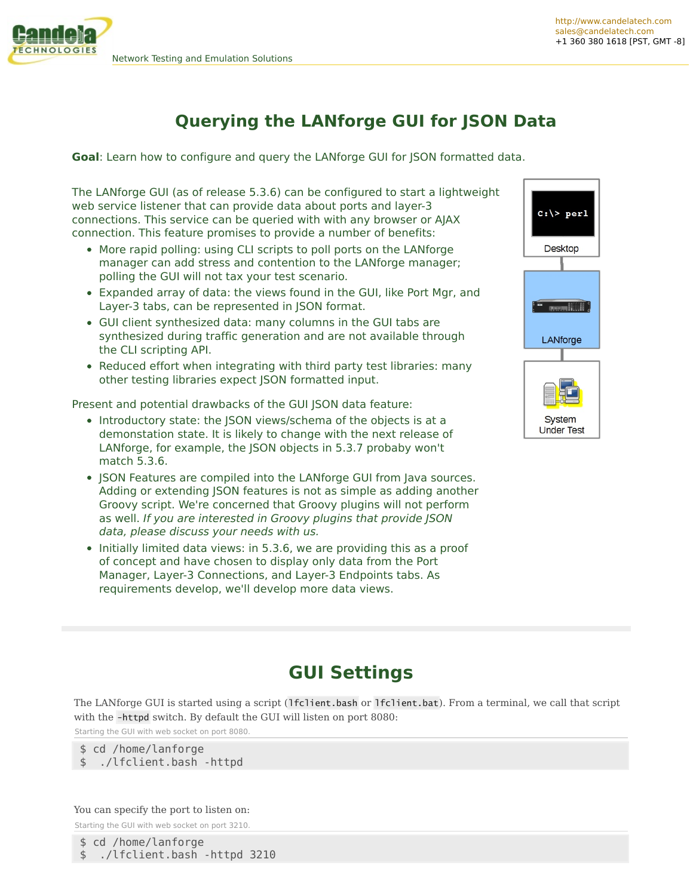## **Querying the LANforge GUI for JSON Data**

**Goal:** Learn how to configure and query the LANforge GUI for JSON formatted data.

The LANforge GUI (as of release 5.3.6) can be configured to start a lightweight web service listener that can provide data about ports and layer-3 connections. This service can be queried with with any browser or AJAX connection. This feature promises to provide a number of benefits:

- More rapid polling: using CLI scripts to poll ports on the LANforge manager can add stress and contention to the LANforge manager; polling the GUI will not tax your test scenario.
- Expanded array of data: the views found in the GUI, like Port Mgr, and Layer-3 tabs, can be represented in JSON format.
- GUI client synthesized data: many columns in the GUI tabs are synthesized during traffic generation and are not available through the CLI scripting API.
- Reduced effort when integrating with third party test libraries: many other testing libraries expect JSON formatted input.

Present and potential drawbacks of the GUI JSON data feature:

- Introductory state: the JSON views/schema of the objects is at a demonstation state. It is likely to change with the next release of LANforge, for example, the JSON objects in 5.3.7 probaby won't match 5.3.6.
- ISON Features are compiled into the LANforge GUI from Java sources. Adding or extending JSON features is not as simple as adding another Groovy script. We're concerned that Groovy plugins will not perform as well. If you are interested in Groovy plugins that provide JSON data, please discuss your needs with us.
- Initially limited data views: in 5.3.6, we are providing this as a proof of concept and have chosen to display only data from the Port Manager, Layer-3 Connections, and Layer-3 Endpoints tabs. As requirements develop, we'll develop more data views.



**System Under Test** 

# **GUI Settings**

The LANforge GUI is started using a script (1fclient.bash or 1fclient.bat). From a terminal, we call that script with the -httpd switch. By default the GUI will listen on port 8080:

Starting the GUI with web socket on port 8080.

\$ cd /home/lanforge \$ ./lfclient.bash -httpd

You can specify the port to listen on: Starting the GUI with web socket on port 3210.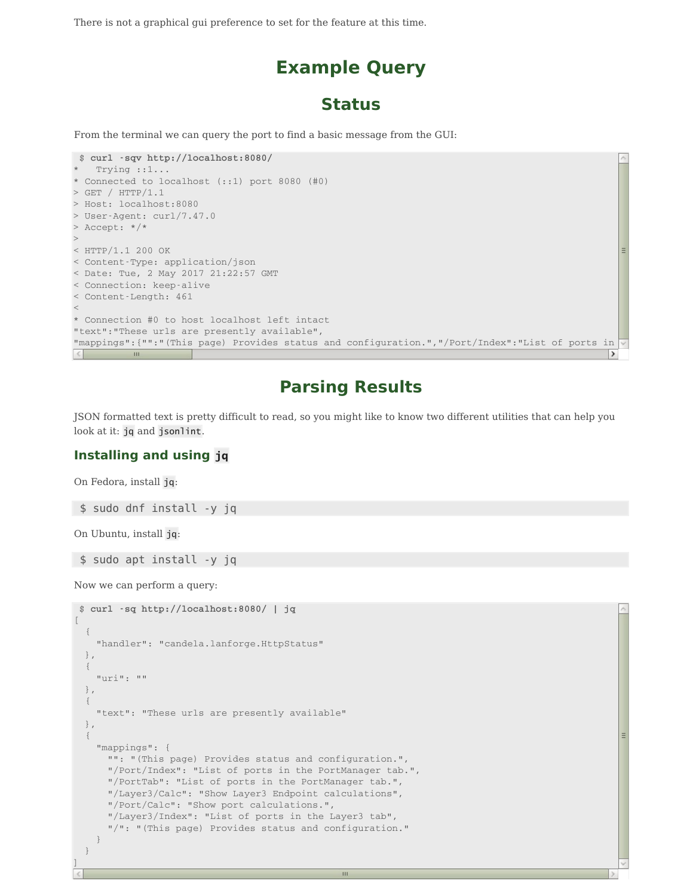There is not a graphical gui preference to set for the feature at this time.

# **Example Query**

### **Status**

From the terminal we can query the port to find a basic message from the GUI:

```
$ curl -sqv http://localhost:8080/
  Trying :: 1...* Connected to localhost (::1) port 8080 (#0)
> GET / HTTP/1.1
> Host: localhost:8080
> User-Agent: curl/7.47.0
> Accept: */*
>< HTTP/1.1 200 OK
< Content-Type: application/json
< Date: Tue, 2 May 2017 21:22:57 GMT
< Connection: keep-alive
< Content-Length: 461
\leq* Connection #0 to host localhost left intact
"text":"These urls are presently available",
"mappings": {"":"(This page) Provides status and configuration.", "/Port/Index":"List of ports in
                                                                                                  \rightarrowш
```
### **Parsing Results**

JSON formatted text is pretty difficult to read, so you might like to know two different utilities that can help you look at it: jq and jsonlint.

 $\mathbf{H}$ 

### **Installing and using jq**

On Fedora, install jq:

\$ sudo dnf install -y jq

On Ubuntu, install jq:

\$ sudo apt install -y jq

Now we can perform a query:

```
$ curl -sq http://localhost:8080/ | jq
\sqrt{2}{
   "handler": "candela.lanforge.HttpStatus"
 },
 {
   "uri": ""
 },
 {
   "text": "These urls are presently available"
 },
 {
   "mappings": {
     "": "(This page) Provides status and configuration.",
     "/Port/Index": "List of ports in the PortManager tab.",
     "/PortTab": "List of ports in the PortManager tab.",
     "/Layer3/Calc": "Show Layer3 Endpoint calculations",
     "/Port/Calc": "Show port calculations.",
     "/Layer3/Index": "List of ports in the Layer3 tab",
     "/": "(This page) Provides status and configuration."
   }
 }
]
```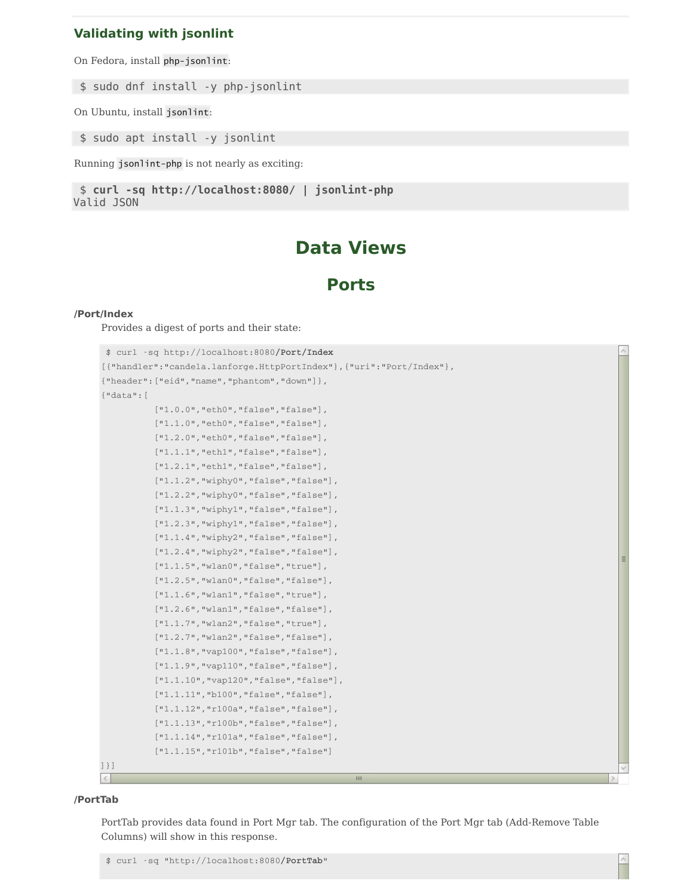### **Validating with jsonlint**

On Fedora, install php-jsonlint:

\$ sudo dnf install -y php-jsonlint

On Ubuntu, install jsonlint:

\$ sudo apt install -y jsonlint

Running jsonlint-php is not nearly as exciting:

```
$ curl -sq http://localhost:8080/ | jsonlint-php
Valid JSON
```
## **Data Views**

### **Ports**

#### **/Port/Index**

Provides a digest of ports and their state:

```
$ curl -sq http://localhost:8080/Port/Index
[{"handler":"candela.lanforge.HttpPortIndex"},{"uri":"Port/Index"},
{"header":["eid","name","phantom","down"]},
{"data":[
          ["1.0.0", "eth0", "false", "false"],
           ["1.1.0","eth0","false","false"],
           ["1.2.0", "eth0", "false", "false"],
           ["1.1.1", "eth1", "false", "false"],
           ["1.2.1", "eth1", "false", "false"],
           ["1.1.2", "wiphy0", "false", "false"],
           ["1.2.2","wiphy0","false","false"],
           ["1.1.3", "wiphy1", "false", "false"],
           ["1.2.3", "wiphy1", "false", "false"],
           ["1.1.4","wiphy2","false","false"],
           ["1.2.4", "wiphy2", "false", "false"],
           ["1.1.5", "wlan0", "false", "true"],
           ["1.2.5", "wlan0", "false", "false"],
           ["1.1.6", "wlan1", "false", "true"],
           ["1.2.6", "wlan1", "false", "false"],
           ["1.1.7", "wlan2", "false", "true"],
           ["1.2.7","wlan2","false","false"],
           ["1.1.8", "vap100", "false", "false"],
           ["1.1.9", "vap110", "false", "false"],
           ["1.1.10", "vap120", "false", "false"],
           ["1.1.11", "b100", "false", "false"],
           ["1.1.12", "r100a", "false", "false"],
           ["1.1.13", "r100b", "false", "false"],
           ["1.1.14", "r101a", "false", "false"],
           ["1.1.15","r101b","false","false"]
]}]
\langle
```
#### **/PortTab**

PortTab provides data found in Port Mgr tab. The configuration of the Port Mgr tab (Add-Remove Table Columns) will show in this response.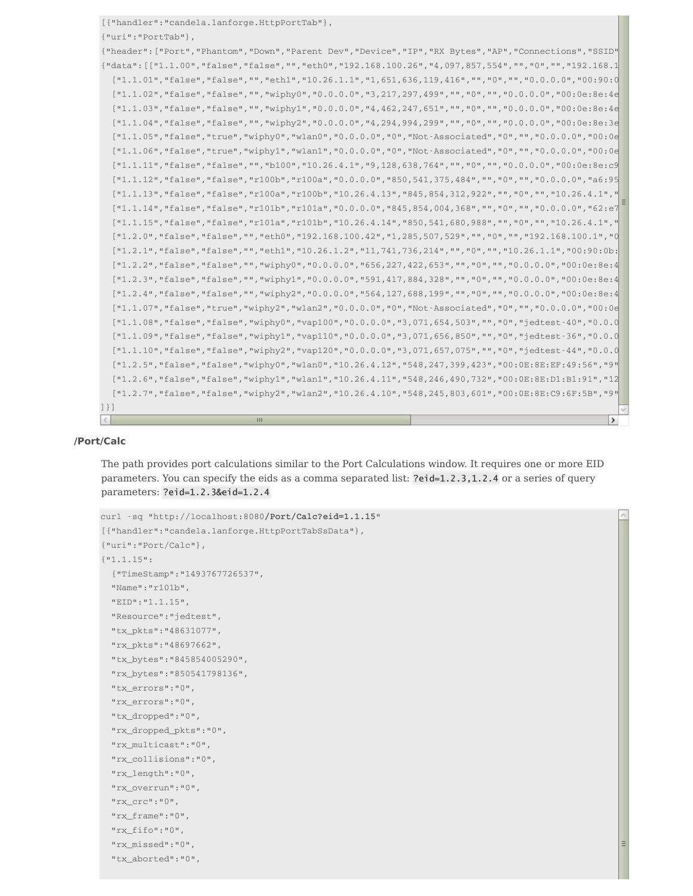```
[{"handler":"candela.lanforge.HttpPortTab"},
{"uri":"PortTab"},
{"header": ["Port","Phantom","Down","Parent Dev","Device","IP","RX Bytes","AP","Connections","SSID"
{"data":[["1.1.00","false","false","","eth0","192.168.100.26","4,097,857,554","","0","","192.168.100.1","00:90:0b:29:06:f8","109,695","340,974"],
  [11.1.01", "false", "false", "", "eth1", "10.26.1.1", "1,651,636,119,416", "","0", "","0.0.0.0", "00:90:0]["1.1.02","false","false","","wiphy0","0.0.0.0","3,217,297,499","","0","","0.0.0.0","00:0e:8e:4e
  ["1.1.03","false","false","","wiphy1","0.0.0.0.0","4,462,247,651","","0","","0.0.0.0.0","00:0e:8e:4e
  [11.1.04", "false", "false", "", "wiphy2", "0.0.0.0.0", "4,294,994,299", "", "0", "", "0.0.0.0", "00:0e:8e:3e
  ["1.1.05","false","true","wiphy0","wlan0","0.0.0.0","0","Not-Associated","0","","0.0.0.0","00:0e:8e:4e:5a:56","0","0"],
  [11.1.06", "false", "true", "wiphy1", "wlan1", "0.0.0.0", "0", "Not-Associated", "0", "", "0.0.0.0", "00:0e
  ["1.1.11","false","false","","b100","10.26.4.1","9,128,638,764","","0","","0.0.0.0","00:0e:8e:c9:6f:5b","0","0"],
  ["1.1.12","false","false","r100b","r100a","0.0.0.0","850,541,375,484","","0","","0.0.0.0.0","a6:95
  ["1.1.13","false","false","r100a","r100b","10.26.4.13","845,854,312,922","","0","","10.26.4.1","
  ["1.1.14","false","false","r101b","r101a","0.0.0.0.0","845,854,004,368","","0","","0.0.0.0.0","62:e7
  ["1.1.15","false","false","r101a","r101b","10.26.4.14","850,541,680,988","","0","","10.26.4.1","
  ["1.2.0","false","false","","eth0","192.168.100.42","1,285,507,529","","0","","192.168.100.1","00:90:0b:40:64:c6","5,331","85,739"],
  ["1.2.1","false","","eth1","10.26.1.2","11,741,736,214","","0","","10.26.1.1","00:90:0b:
  ["1.2.2","false","false","","wiphy0","0.0.0.0","656,227,422,653","","0","","0.0.0.0.0","00:0e:8e:4
  ["1.2.3","false","false","","wiphy1","0.0.0.0","591,417,884,328","","0","","0.0.0.0","00:0e:8e:4
  ["1.2.4","false","false","","wiphy2","0.0.0.0","564,127,688,199","","0","","0.0.0.0","00:0e:8e:4
  [11.1.07", "false", "true", "wiphy2", "wlan2", "0.0.0.0.0", "0", "Not-Associated", "0", "", "0.0.0.0", "00:0e:
  ["1.1.08","false","false","wiphy0","vap100","0.0.0.0","3,071,654,503","","0","jedtest-40","0.0.0.0","00:0e:8e:ef:49:56","0","0"],
  [11.1.09", "false", "false", "wiphy1", "vap110", "0.0.0.0", "3,071,656,850", "", "0", "jedtest-36", "0.0.0
  ["1.1.10","false","false","wiphy2","vap120","0.0.0.0","3,071,657,075","","0","jedtest-44","0.0.0.0","00:0e:8e:c9:6f:5b","0","0"],
  [11.2.5","false","false","wiphy0","wlan0","10.26.4.12","548,247,399,423","00:0E:8E:EF:49:56","9"
  ["1.2.6","false","false","wiphy1","wlan1","10.26.4.11","548,246,490,732","00:0E:8E:D1:B1:91","12
  ["1.2.7","false","false","wiphy2","wlan2","10.26.4.10","548,245,803,601","00:0E:8E:C9:6F:5B","9","jedtest-44","10.26.4.1","00:0e:8e:43:37:63","0","0"]
]}]
\vert \leq \vert\mathbf{m}\rightarrow
```
#### **/Port/Calc**

The path provides port calculations similar to the Port Calculations window. It requires one or more EID parameters. You can specify the eids as a comma separated list: ?eid=1.2.3,1.2.4 or a series of query parameters: ?eid=1.2.3&eid=1.2.4

```
curl -sq "http://localhost:8080/Port/Calc?eid=1.1.15"
[{"handler":"candela.lanforge.HttpPortTabSsData"},
{"uri":"Port/Calc"},
{"1.1.15":
  {"TimeStamp":"1493767726537",
  "Name":"r101b",
  "EID":"1.1.15",
  "Resource":"jedtest",
  "tx_pkts":"48631077",
  "rx_pkts":"48697662",
  "tx_bytes":"845854005290",
  "rx_bytes":"850541798136",
  "tx_errors":"0",
  "rx_errors":"0",
  "tx_dropped":"0",
  "rx_dropped_pkts":"0",
  "rx_multicast":"0",
  "rx_collisions":"0",
  "rx_length":"0",
  "rx_overrun":"0",
  "rx_crc":"0",
  "rx_frame":"0",
  "rx_fifo":"0",
  "rx_missed":"0",
  "tx_aborted":"0",
```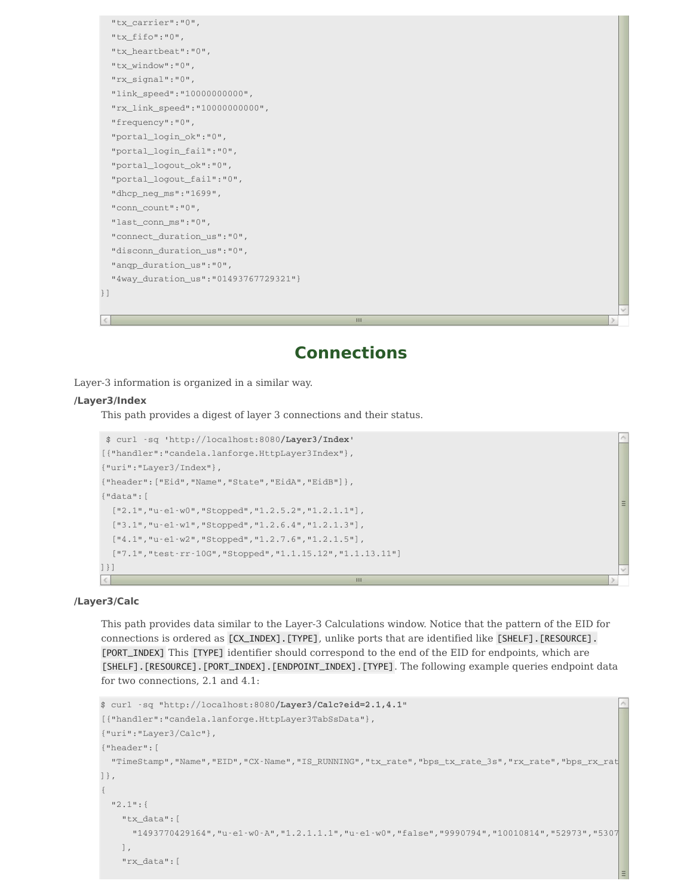```
"tx_carrier":"0",
 "tx_fifo":"0",
 "tx_heartbeat":"0",
 "tx_window":"0",
 "rx_signal":"0",
 "link_speed":"10000000000",
 "rx_link_speed":"10000000000",
 "frequency":"0",
 "portal_login_ok":"0",
 "portal_login_fail":"0",
 "portal_logout_ok":"0",
 "portal_logout_fail":"0",
 "dhcp_neg_ms":"1699",
 "conn_count":"0",
 "last_conn_ms":"0",
 "connect_duration_us":"0",
 "disconn_duration_us":"0",
 "anqp_duration_us":"0",
 "4way_duration_us":"01493767729321"}
}]
```
## **Connections**

Layer-3 information is organized in a similar way.

#### **/Layer3/Index**

This path provides a digest of layer 3 connections and their status.

```
$ curl -sq 'http://localhost:8080/Layer3/Index'
[{"handler":"candela.lanforge.HttpLayer3Index"},
{"uri":"Layer3/Index"},
{"header":["Eid","Name","State","EidA","EidB"]},
{"data":[
 ["2.1","u-e1-w0","Stopped","1.2.5.2","1.2.1.1"],
 ["3.1","u-e1-w1","Stopped","1.2.6.4","1.2.1.3"],
 ["4.1","u-e1-w2","Stopped","1.2.7.6","1.2.1.5"],
 ["7.1","test-rr-10G","Stopped","1.1.15.12","1.1.13.11"]
]}]
\left| \mathcal{L} \right|Ш
```
#### **/Layer3/Calc**

This path provides data similar to the Layer-3 Calculations window. Notice that the pattern of the EID for connections is ordered as [CX\_INDEX].[TYPE], unlike ports that are identified like [SHELF].[RESOURCE]. [PORT\_INDEX] This [TYPE] identifier should correspond to the end of the EID for endpoints, which are [SHELF].[RESOURCE].[PORT\_INDEX].[ENDPOINT\_INDEX].[TYPE]. The following example queries endpoint data for two connections, 2.1 and 4.1:

```
$ curl -sq "http://localhost:8080/Layer3/Calc?eid=2.1,4.1"
[{"handler":"candela.lanforge.HttpLayer3TabSsData"},
{"uri":"Layer3/Calc"},
{"header":[
"TimeStamp","Name","EID","CX·Name","IS_RUNNING","tx_rate","bps_tx_rate_3s","rx_rate","bps_rx_rat|
]},
{
"2.1":{
"tx_data":[
 "1493770429164", "u-e1-w0-A", "1.2.1.1.1", "u-e1-w0", "false", "9990794", "10010814", "52973", "5307
\cdot"rx_data":[
```